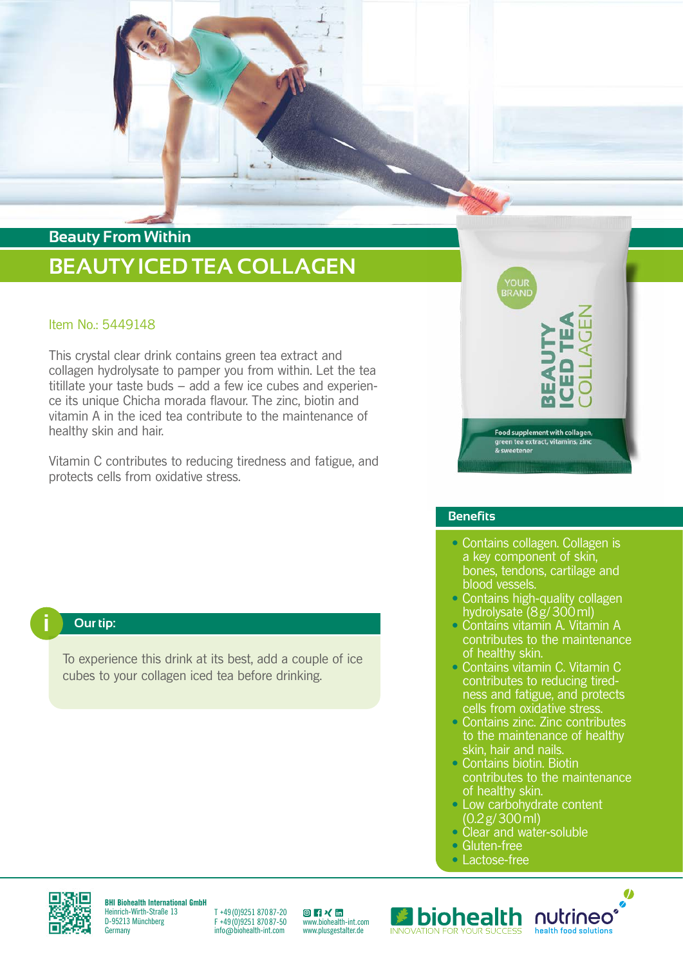

### Item No.: 5449148

This crystal clear drink contains green tea extract and collagen hydrolysate to pamper you from within. Let the tea titillate your taste buds – add a few ice cubes and experience its unique Chicha morada flavour. The zinc, biotin and vitamin A in the iced tea contribute to the maintenance of healthy skin and hair.

Vitamin C contributes to reducing tiredness and fatigue, and protects cells from oxidative stress.



#### **Benefits**

- Contains collagen. Collagen is a key component of skin, bones, tendons, cartilage and blood vessels.
- Contains high-quality collagen hydrolysate (8g/300ml)
- Contains vitamin A. Vitamin A contributes to the maintenance of healthy skin.
- Contains vitamin C. Vitamin C contributes to reducing tiredness and fatigue, and protects cells from oxidative stress.
- Contains zinc. Zinc contributes to the maintenance of healthy skin, hair and nails.
- Contains biotin. Biotin contributes to the maintenance of healthy skin.

Ø

- Low carbohydrate content (0.2g/300ml)
- Clear and water-soluble
- Gluten-free
- Lactose-free



To experience this drink at its best, add a couple of ice cubes to your collagen iced tea before drinking.



**BHI Biohealth International GmbH** Heinrich-Wirth-Straße 13 D-95213 Münchberg **Germany** 

T +49 (0)9251 870 87-20 F +49 (0)9251 870 87-50 info@biohealth-int.com

[ww](https://www.instagram.com/biohealth.international/)[w.b](https://www.facebook.com/biohealth.international/)[iohe](https://www.xing.com/pages/biohealthinternationalgmbh)[alth-](https://www.linkedin.com/company/7256915/admin/)int.com www.plusgestalter.de